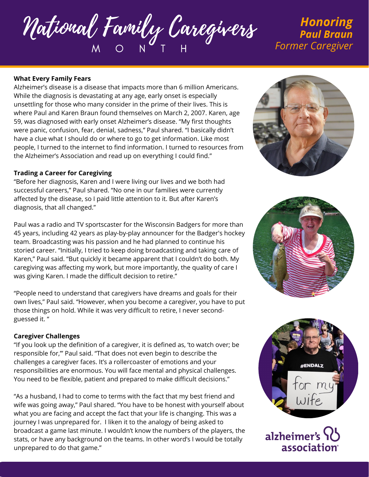National Family Caregivers M O N T H

# *Honoring Paul Braun Former Caregiver*

#### **What Every Family Fears**

Alzheimer's disease is a disease that impacts more than 6 million Americans. While the diagnosis is devastating at any age, early onset is especially unsettling for those who many consider in the prime of their lives. This is where Paul and Karen Braun found themselves on March 2, 2007. Karen, age 59, was diagnosed with early onset Alzheimer's disease. "My first thoughts were panic, confusion, fear, denial, sadness," Paul shared. "I basically didn't have a clue what I should do or where to go to get information. Like most people, I turned to the internet to find information. I turned to resources from the Alzheimer's Association and read up on everything I could find."

#### **Trading a Career for Caregiving**

"Before her diagnosis, Karen and I were living our lives and we both had successful careers," Paul shared. "No one in our families were currently affected by the disease, so I paid little attention to it. But after Karen's diagnosis, that all changed."

Paul was a radio and TV sportscaster for the Wisconsin Badgers for more than 45 years, including 42 years as play-by-play announcer for the Badger's hockey team. Broadcasting was his passion and he had planned to continue his storied career. "Initially, I tried to keep doing broadcasting and taking care of Karen," Paul said. "But quickly it became apparent that I couldn't do both. My caregiving was affecting my work, but more importantly, the quality of care I was giving Karen. I made the difficult decision to retire."

"People need to understand that caregivers have dreams and goals for their own lives," Paul said. "However, when you become a caregiver, you have to put those things on hold. While it was very difficult to retire, I never secondguessed it. "

### **Caregiver Challenges**

"If you look up the definition of a caregiver, it is defined as, 'to watch over; be responsible for,'" Paul said. "That does not even begin to describe the challenges a caregiver faces. It's a rollercoaster of emotions and your responsibilities are enormous. You will face mental and physical challenges. You need to be flexible, patient and prepared to make difficult decisions."

"As a husband, I had to come to terms with the fact that my best friend and wife was going away," Paul shared. "You have to be honest with yourself about what you are facing and accept the fact that your life is changing. This was a journey I was unprepared for. I liken it to the analogy of being asked to broadcast a game last minute. I wouldn't know the numbers of the players, the stats, or have any background on the teams. In other word's I would be totally unprepared to do that game."







alzheimer's association<sup>®</sup>